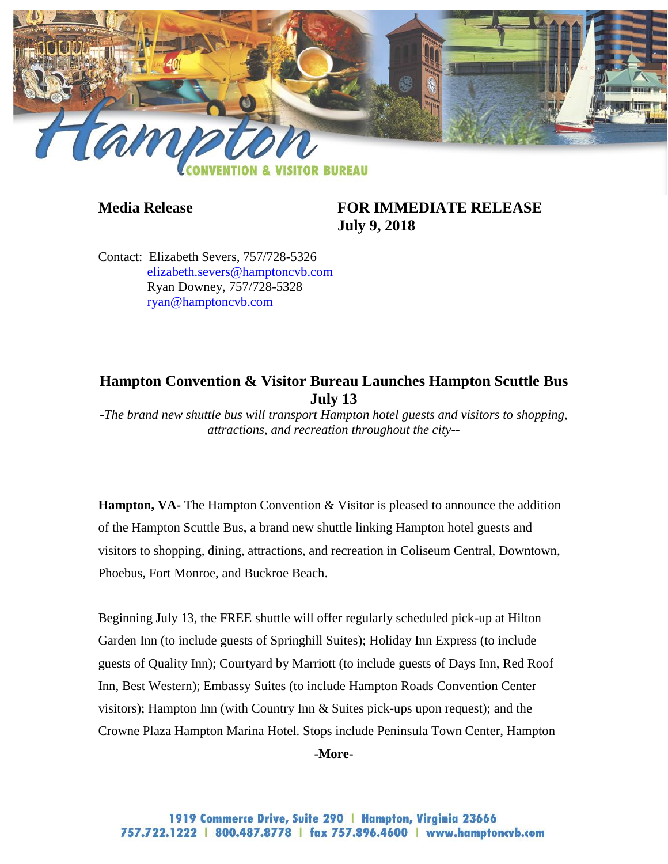

## **Media Release FOR IMMEDIATE RELEASE July 9, 2018**

Contact: Elizabeth Severs, 757/728-5326 [elizabeth.severs@hamptoncvb.com](mailto:elizabeth.severs@hamptoncvb.com) Ryan Downey, 757/728-5328 [ryan@hamptoncvb.com](mailto:ryan@hamptoncvb.com)

## **Hampton Convention & Visitor Bureau Launches Hampton Scuttle Bus July 13**

*-The brand new shuttle bus will transport Hampton hotel guests and visitors to shopping, attractions, and recreation throughout the city--*

**Hampton, VA-** The Hampton Convention & Visitor is pleased to announce the addition of the Hampton Scuttle Bus, a brand new shuttle linking Hampton hotel guests and visitors to shopping, dining, attractions, and recreation in Coliseum Central, Downtown, Phoebus, Fort Monroe, and Buckroe Beach.

Beginning July 13, the FREE shuttle will offer regularly scheduled pick-up at Hilton Garden Inn (to include guests of Springhill Suites); Holiday Inn Express (to include guests of Quality Inn); Courtyard by Marriott (to include guests of Days Inn, Red Roof Inn, Best Western); Embassy Suites (to include Hampton Roads Convention Center visitors); Hampton Inn (with Country Inn & Suites pick-ups upon request); and the Crowne Plaza Hampton Marina Hotel. Stops include Peninsula Town Center, Hampton

**-More-**